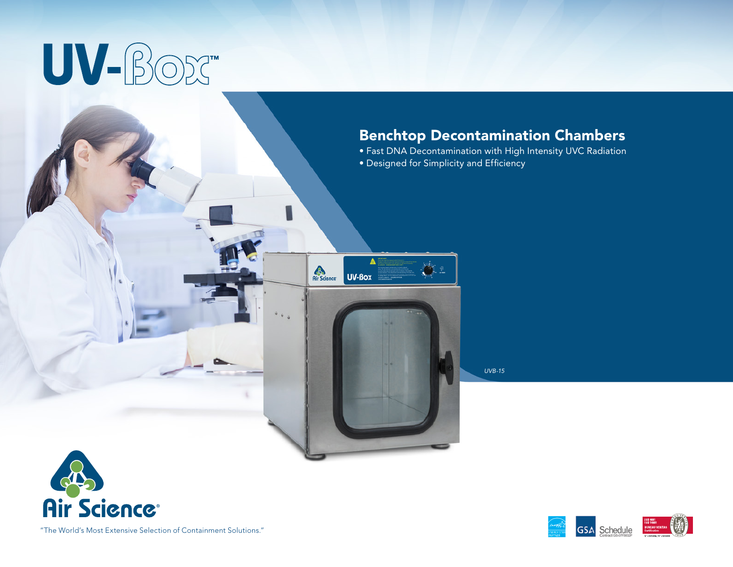# UV-BOX

# Benchtop Decontamination Chambers

- Fast DNA Decontamination with High Intensity UVC Radiation
- Designed for Simplicity and Efficiency

**AS**<br>Air Science

UV-Box



*UVB-15*





"The World's Most Extensive Selection of Containment Solutions."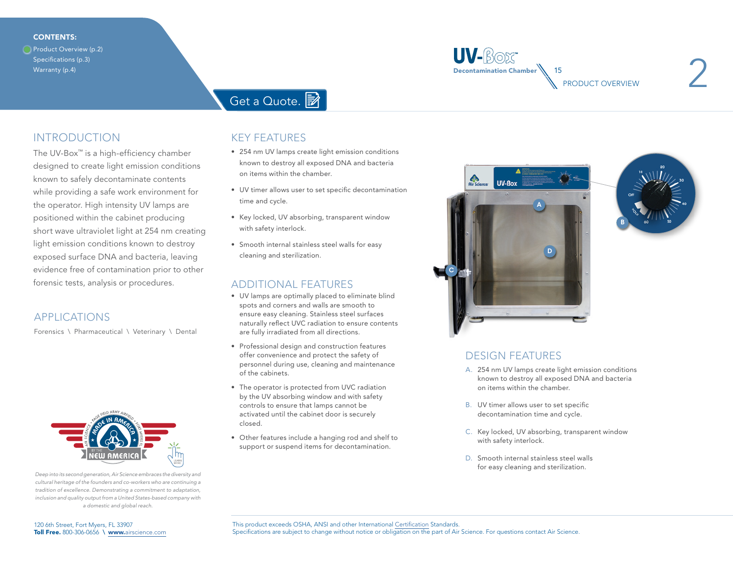#### <span id="page-1-0"></span>CONTENTS:

Product Overview (p.2) [Specifications \(p.3\)](#page-2-0) [Warranty \(p.4\)](#page-3-0)



# [Get a Quote.](https://www.airscience.com/quote-request)

## INTRODUCTION

The UV-Box™ is a high-efficiency chamber designed to create light emission conditions known to safely decontaminate contents while providing a safe work environment for the operator. High intensity UV lamps are positioned within the cabinet producing short wave ultraviolet light at 254 nm creating light emission conditions known to destroy exposed surface DNA and bacteria, leaving evidence free of contamination prior to other forensic tests, analysis or procedures.

### APPLICATIONS

Forensics \ Pharmaceutical \ Veterinary \ Dental



*Deep into its second generation, Air Science embraces the diversity and cultural heritage of the founders and co-workers who are continuing a tradition of excellence. Demonstrating a commitment to adaptation, inclusion and quality output from a United States-based company with a domestic and global reach.*

### KEY FEATURES

- 254 nm UV lamps create light emission conditions known to destroy all exposed DNA and bacteria on items within the chamber.
- UV timer allows user to set specific decontamination time and cycle.
- Key locked, UV absorbing, transparent window with safety interlock.
- Smooth internal stainless steel walls for easy cleaning and sterilization.

#### ADDITIONAL FEATURES

- UV lamps are optimally placed to eliminate blind spots and corners and walls are smooth to ensure easy cleaning. Stainless steel surfaces naturally reflect UVC radiation to ensure contents are fully irradiated from all directions.
- Professional design and construction features offer convenience and protect the safety of personnel during use, cleaning and maintenance of the cabinets.
- The operator is protected from UVC radiation by the UV absorbing window and with safety controls to ensure that lamps cannot be activated until the cabinet door is securely closed.
- Other features include a hanging rod and shelf to support or suspend items for decontamination.





## DESIGN FEATURES

- A. 254 nm UV lamps create light emission conditions known to destroy all exposed DNA and bacteria on items within the chamber.
- B. UV timer allows user to set specific decontamination time and cycle.
- C. Key locked, UV absorbing, transparent window with safety interlock.
- D. Smooth internal stainless steel walls for easy cleaning and sterilization.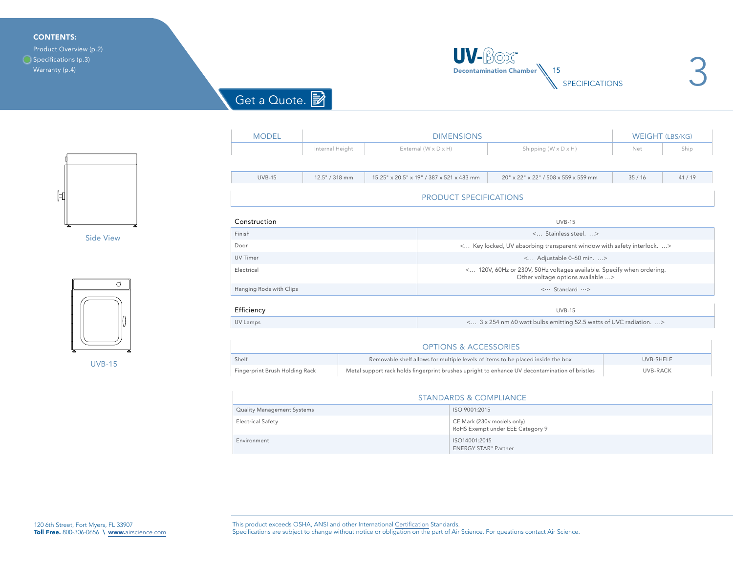#### <span id="page-2-0"></span>CONTENTS:

[Product Overview \(p.2\)](#page-1-0) ◯ Specifications (p.3) [Warranty \(p.4\)](#page-3-0)



3

[Get a Quote.](https://www.airscience.com/quote-request)



Side View



UVB-15

| <b>MODEL</b>                   | <b>DIMENSIONS</b> |  |                                                                                                            |                                      | <b>WEIGHT (LBS/KG)</b> |         |
|--------------------------------|-------------------|--|------------------------------------------------------------------------------------------------------------|--------------------------------------|------------------------|---------|
|                                | Internal Height   |  | External (W x D x H)                                                                                       | Shipping (W x D x H)                 | Net                    | Ship    |
|                                |                   |  |                                                                                                            |                                      |                        |         |
| <b>UVB-15</b>                  | 12.5" / 318 mm    |  | 15.25" x 20.5" x 19" / 387 x 521 x 483 mm                                                                  | 20" x 22" x 22" / 508 x 559 x 559 mm | 35/16                  | 41 / 19 |
|                                |                   |  | <b>PRODUCT SPECIFICATIONS</b>                                                                              |                                      |                        |         |
| Construction                   |                   |  |                                                                                                            | <b>UVB-15</b>                        |                        |         |
| Finish                         |                   |  | < Stainless steel. >                                                                                       |                                      |                        |         |
| Door                           |                   |  | < Key locked, UV absorbing transparent window with safety interlock. >                                     |                                      |                        |         |
| <b>UV Timer</b>                |                   |  | < Adjustable 0-60 min. >                                                                                   |                                      |                        |         |
| Electrical                     |                   |  | < 120V, 60Hz or 230V, 50Hz voltages available. Specify when ordering.<br>Other voltage options available > |                                      |                        |         |
| Hanging Rods with Clips        |                   |  | < Standard >                                                                                               |                                      |                        |         |
| Efficiency                     |                   |  |                                                                                                            | <b>UVB-15</b>                        |                        |         |
| UV Lamps                       |                   |  | < 3 x 254 nm 60 watt bulbs emitting 52.5 watts of UVC radiation. >                                         |                                      |                        |         |
|                                |                   |  | <b>OPTIONS &amp; ACCESSORIES</b>                                                                           |                                      |                        |         |
| Shelf                          |                   |  | Removable shelf allows for multiple levels of items to be placed inside the box                            |                                      | UVB-SHELF              |         |
| Fingerprint Brush Holding Rack |                   |  | Metal support rack holds fingerprint brushes upright to enhance UV decontamination of bristles             |                                      | UVB-RACK               |         |
|                                |                   |  |                                                                                                            |                                      |                        |         |
|                                |                   |  | <b>STANDARDS &amp; COMPLIANCE</b>                                                                          |                                      |                        |         |
| Quality Management Systems     |                   |  | ISO 9001:2015                                                                                              |                                      |                        |         |
| <b>Electrical Safety</b>       |                   |  | CE Mark (230v models only)<br>RoHS Exempt under EEE Category 9                                             |                                      |                        |         |
| Environment                    |                   |  | ISO14001:2015<br><b>ENERGY STAR® Partner</b>                                                               |                                      |                        |         |